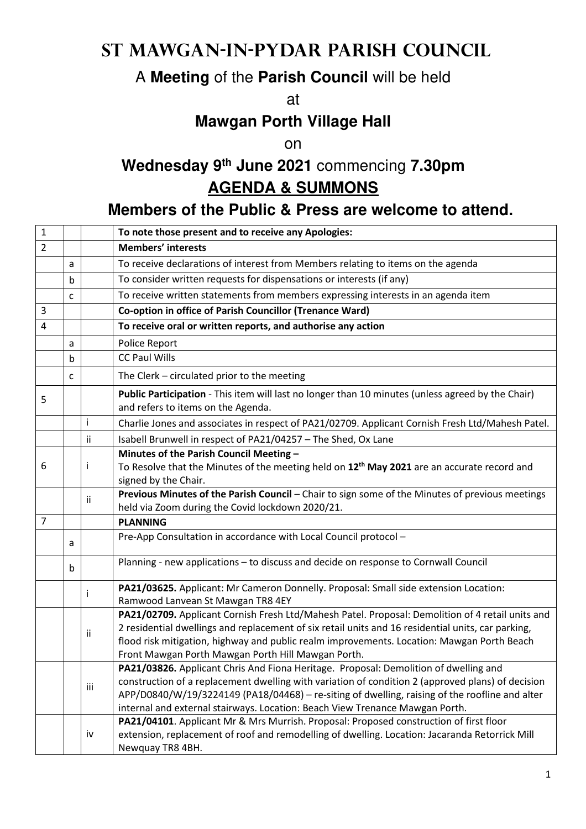# **St Mawgan-in-Pydar Parish Council**

## A **Meeting** of the **Parish Council** will be held

at

#### **Mawgan Porth Village Hall**

on

# **Wednesday 9th June 2021** commencing **7.30pm AGENDA & SUMMONS**

### **Members of the Public & Press are welcome to attend.**

| $\mathbf{1}$   |   |     | To note those present and to receive any Apologies:                                                                                                                                                                                                                                                                                                                                |
|----------------|---|-----|------------------------------------------------------------------------------------------------------------------------------------------------------------------------------------------------------------------------------------------------------------------------------------------------------------------------------------------------------------------------------------|
| $\overline{2}$ |   |     | <b>Members' interests</b>                                                                                                                                                                                                                                                                                                                                                          |
|                | a |     | To receive declarations of interest from Members relating to items on the agenda                                                                                                                                                                                                                                                                                                   |
|                | b |     | To consider written requests for dispensations or interests (if any)                                                                                                                                                                                                                                                                                                               |
|                | C |     | To receive written statements from members expressing interests in an agenda item                                                                                                                                                                                                                                                                                                  |
| 3              |   |     | Co-option in office of Parish Councillor (Trenance Ward)                                                                                                                                                                                                                                                                                                                           |
| 4              |   |     | To receive oral or written reports, and authorise any action                                                                                                                                                                                                                                                                                                                       |
|                | a |     | Police Report                                                                                                                                                                                                                                                                                                                                                                      |
|                | b |     | <b>CC Paul Wills</b>                                                                                                                                                                                                                                                                                                                                                               |
|                | C |     | The Clerk - circulated prior to the meeting                                                                                                                                                                                                                                                                                                                                        |
| 5              |   |     | Public Participation - This item will last no longer than 10 minutes (unless agreed by the Chair)<br>and refers to items on the Agenda.                                                                                                                                                                                                                                            |
|                |   | j.  | Charlie Jones and associates in respect of PA21/02709. Applicant Cornish Fresh Ltd/Mahesh Patel.                                                                                                                                                                                                                                                                                   |
|                |   | ii  | Isabell Brunwell in respect of PA21/04257 - The Shed, Ox Lane                                                                                                                                                                                                                                                                                                                      |
| 6              |   | ÷   | Minutes of the Parish Council Meeting -<br>To Resolve that the Minutes of the meeting held on 12 <sup>th</sup> May 2021 are an accurate record and<br>signed by the Chair.                                                                                                                                                                                                         |
|                |   | ii  | Previous Minutes of the Parish Council - Chair to sign some of the Minutes of previous meetings<br>held via Zoom during the Covid lockdown 2020/21.                                                                                                                                                                                                                                |
| 7              |   |     | <b>PLANNING</b>                                                                                                                                                                                                                                                                                                                                                                    |
|                | а |     | Pre-App Consultation in accordance with Local Council protocol -                                                                                                                                                                                                                                                                                                                   |
|                | b |     | Planning - new applications - to discuss and decide on response to Cornwall Council                                                                                                                                                                                                                                                                                                |
|                |   | Ť   | PA21/03625. Applicant: Mr Cameron Donnelly. Proposal: Small side extension Location:<br>Ramwood Lanvean St Mawgan TR8 4EY                                                                                                                                                                                                                                                          |
|                |   | ii  | PA21/02709. Applicant Cornish Fresh Ltd/Mahesh Patel. Proposal: Demolition of 4 retail units and<br>2 residential dwellings and replacement of six retail units and 16 residential units, car parking,<br>flood risk mitigation, highway and public realm improvements. Location: Mawgan Porth Beach<br>Front Mawgan Porth Mawgan Porth Hill Mawgan Porth.                         |
|                |   | iii | <b>PA21/03826.</b> Applicant Chris And Fiona Heritage. Proposal: Demolition of dwelling and<br>construction of a replacement dwelling with variation of condition 2 (approved plans) of decision<br>APP/D0840/W/19/3224149 (PA18/04468) - re-siting of dwelling, raising of the roofline and alter<br>internal and external stairways. Location: Beach View Trenance Mawgan Porth. |
|                |   | iv  | PA21/04101. Applicant Mr & Mrs Murrish. Proposal: Proposed construction of first floor<br>extension, replacement of roof and remodelling of dwelling. Location: Jacaranda Retorrick Mill<br>Newquay TR8 4BH.                                                                                                                                                                       |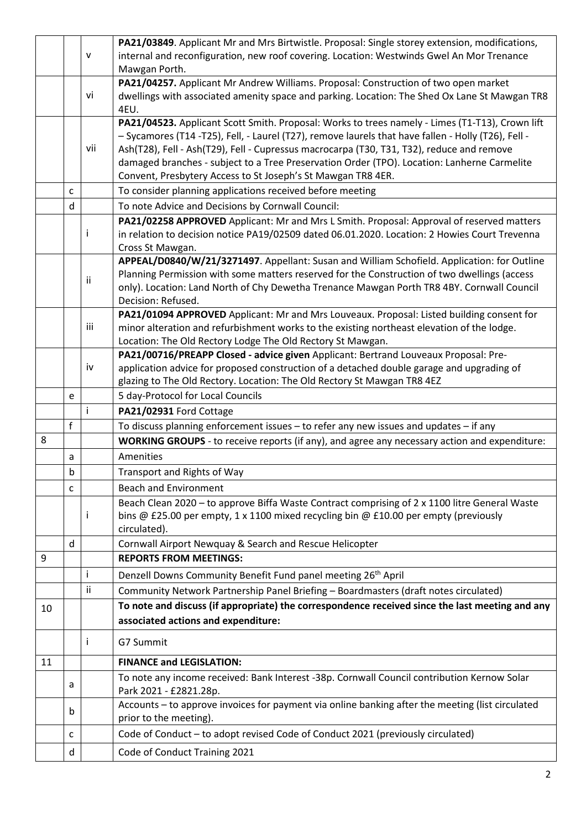|    |              |     | PA21/03849. Applicant Mr and Mrs Birtwistle. Proposal: Single storey extension, modifications,                                                                                                   |
|----|--------------|-----|--------------------------------------------------------------------------------------------------------------------------------------------------------------------------------------------------|
|    |              | V   | internal and reconfiguration, new roof covering. Location: Westwinds Gwel An Mor Trenance                                                                                                        |
|    |              |     | Mawgan Porth.                                                                                                                                                                                    |
|    |              |     | PA21/04257. Applicant Mr Andrew Williams. Proposal: Construction of two open market                                                                                                              |
|    |              | vi  | dwellings with associated amenity space and parking. Location: The Shed Ox Lane St Mawgan TR8                                                                                                    |
|    |              |     | 4EU.                                                                                                                                                                                             |
|    |              |     | PA21/04523. Applicant Scott Smith. Proposal: Works to trees namely - Limes (T1-T13), Crown lift                                                                                                  |
|    |              | vii | - Sycamores (T14 -T25), Fell, - Laurel (T27), remove laurels that have fallen - Holly (T26), Fell -<br>Ash(T28), Fell - Ash(T29), Fell - Cupressus macrocarpa (T30, T31, T32), reduce and remove |
|    |              |     | damaged branches - subject to a Tree Preservation Order (TPO). Location: Lanherne Carmelite                                                                                                      |
|    |              |     | Convent, Presbytery Access to St Joseph's St Mawgan TR8 4ER.                                                                                                                                     |
|    | C            |     | To consider planning applications received before meeting                                                                                                                                        |
|    | d            |     | To note Advice and Decisions by Cornwall Council:                                                                                                                                                |
|    |              |     | PA21/02258 APPROVED Applicant: Mr and Mrs L Smith. Proposal: Approval of reserved matters                                                                                                        |
|    |              | T   | in relation to decision notice PA19/02509 dated 06.01.2020. Location: 2 Howies Court Trevenna                                                                                                    |
|    |              |     | Cross St Mawgan.                                                                                                                                                                                 |
|    |              |     | APPEAL/D0840/W/21/3271497. Appellant: Susan and William Schofield. Application: for Outline                                                                                                      |
|    |              |     | Planning Permission with some matters reserved for the Construction of two dwellings (access                                                                                                     |
|    |              | ii. | only). Location: Land North of Chy Dewetha Trenance Mawgan Porth TR8 4BY. Cornwall Council                                                                                                       |
|    |              |     | Decision: Refused.                                                                                                                                                                               |
|    |              |     | PA21/01094 APPROVED Applicant: Mr and Mrs Louveaux. Proposal: Listed building consent for                                                                                                        |
|    |              | iii | minor alteration and refurbishment works to the existing northeast elevation of the lodge.                                                                                                       |
|    |              |     | Location: The Old Rectory Lodge The Old Rectory St Mawgan.                                                                                                                                       |
|    |              |     | PA21/00716/PREAPP Closed - advice given Applicant: Bertrand Louveaux Proposal: Pre-                                                                                                              |
|    |              | iv  | application advice for proposed construction of a detached double garage and upgrading of                                                                                                        |
|    |              |     | glazing to The Old Rectory. Location: The Old Rectory St Mawgan TR8 4EZ                                                                                                                          |
|    | e            |     | 5 day-Protocol for Local Councils                                                                                                                                                                |
|    |              | Ť   | PA21/02931 Ford Cottage                                                                                                                                                                          |
|    | f            |     | To discuss planning enforcement issues - to refer any new issues and updates - if any                                                                                                            |
| 8  |              |     | WORKING GROUPS - to receive reports (if any), and agree any necessary action and expenditure:                                                                                                    |
|    | a            |     | Amenities                                                                                                                                                                                        |
|    | $\mathsf b$  |     | Transport and Rights of Way                                                                                                                                                                      |
|    | $\mathsf{C}$ |     | <b>Beach and Environment</b>                                                                                                                                                                     |
|    |              |     | Beach Clean 2020 - to approve Biffa Waste Contract comprising of 2 x 1100 litre General Waste                                                                                                    |
|    |              | Ť   | bins @ £25.00 per empty, 1 x 1100 mixed recycling bin @ £10.00 per empty (previously                                                                                                             |
|    |              |     | circulated).                                                                                                                                                                                     |
|    | d            |     | Cornwall Airport Newquay & Search and Rescue Helicopter                                                                                                                                          |
| 9  |              |     | <b>REPORTS FROM MEETINGS:</b>                                                                                                                                                                    |
|    |              | i   | Denzell Downs Community Benefit Fund panel meeting 26 <sup>th</sup> April                                                                                                                        |
|    |              | ii  | Community Network Partnership Panel Briefing - Boardmasters (draft notes circulated)                                                                                                             |
| 10 |              |     | To note and discuss (if appropriate) the correspondence received since the last meeting and any                                                                                                  |
|    |              |     | associated actions and expenditure:                                                                                                                                                              |
|    |              | T   | G7 Summit                                                                                                                                                                                        |
| 11 |              |     | <b>FINANCE and LEGISLATION:</b>                                                                                                                                                                  |
|    |              |     | To note any income received: Bank Interest -38p. Cornwall Council contribution Kernow Solar                                                                                                      |
|    | a            |     | Park 2021 - £2821.28p.                                                                                                                                                                           |
|    | $\mathbf b$  |     | Accounts - to approve invoices for payment via online banking after the meeting (list circulated                                                                                                 |
|    |              |     | prior to the meeting).                                                                                                                                                                           |
|    | C            |     | Code of Conduct - to adopt revised Code of Conduct 2021 (previously circulated)                                                                                                                  |
|    | d            |     | Code of Conduct Training 2021                                                                                                                                                                    |